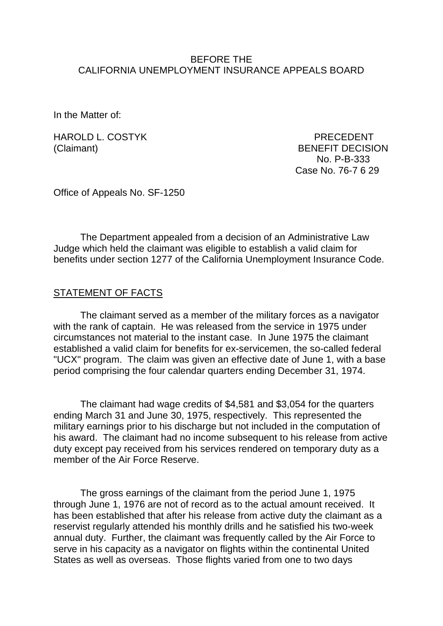#### BEFORE THE CALIFORNIA UNEMPLOYMENT INSURANCE APPEALS BOARD

In the Matter of:

HAROLD L. COSTYK PRECEDENT

(Claimant) BENEFIT DECISION No. P-B-333 Case No. 76-7 6 29

Office of Appeals No. SF-1250

The Department appealed from a decision of an Administrative Law Judge which held the claimant was eligible to establish a valid claim for benefits under section 1277 of the California Unemployment Insurance Code.

### STATEMENT OF FACTS

The claimant served as a member of the military forces as a navigator with the rank of captain. He was released from the service in 1975 under circumstances not material to the instant case. In June 1975 the claimant established a valid claim for benefits for ex-servicemen, the so-called federal "UCX" program. The claim was given an effective date of June 1, with a base period comprising the four calendar quarters ending December 31, 1974.

The claimant had wage credits of \$4,581 and \$3,054 for the quarters ending March 31 and June 30, 1975, respectively. This represented the military earnings prior to his discharge but not included in the computation of his award. The claimant had no income subsequent to his release from active duty except pay received from his services rendered on temporary duty as a member of the Air Force Reserve.

The gross earnings of the claimant from the period June 1, 1975 through June 1, 1976 are not of record as to the actual amount received. It has been established that after his release from active duty the claimant as a reservist regularly attended his monthly drills and he satisfied his two-week annual duty. Further, the claimant was frequently called by the Air Force to serve in his capacity as a navigator on flights within the continental United States as well as overseas. Those flights varied from one to two days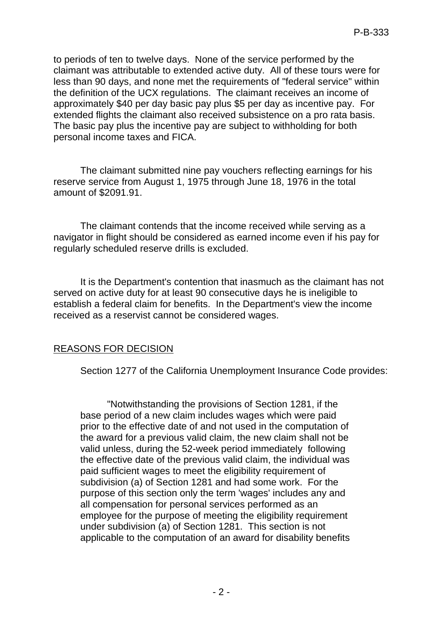to periods of ten to twelve days. None of the service performed by the claimant was attributable to extended active duty. All of these tours were for less than 90 days, and none met the requirements of "federal service" within the definition of the UCX regulations. The claimant receives an income of approximately \$40 per day basic pay plus \$5 per day as incentive pay. For extended flights the claimant also received subsistence on a pro rata basis. The basic pay plus the incentive pay are subject to withholding for both personal income taxes and FICA.

The claimant submitted nine pay vouchers reflecting earnings for his reserve service from August 1, 1975 through June 18, 1976 in the total amount of \$2091.91.

The claimant contends that the income received while serving as a navigator in flight should be considered as earned income even if his pay for regularly scheduled reserve drills is excluded.

It is the Department's contention that inasmuch as the claimant has not served on active duty for at least 90 consecutive days he is ineligible to establish a federal claim for benefits. In the Department's view the income received as a reservist cannot be considered wages.

## REASONS FOR DECISION

Section 1277 of the California Unemployment Insurance Code provides:

"Notwithstanding the provisions of Section 1281, if the base period of a new claim includes wages which were paid prior to the effective date of and not used in the computation of the award for a previous valid claim, the new claim shall not be valid unless, during the 52-week period immediately following the effective date of the previous valid claim, the individual was paid sufficient wages to meet the eligibility requirement of subdivision (a) of Section 1281 and had some work. For the purpose of this section only the term 'wages' includes any and all compensation for personal services performed as an employee for the purpose of meeting the eligibility requirement under subdivision (a) of Section 1281. This section is not applicable to the computation of an award for disability benefits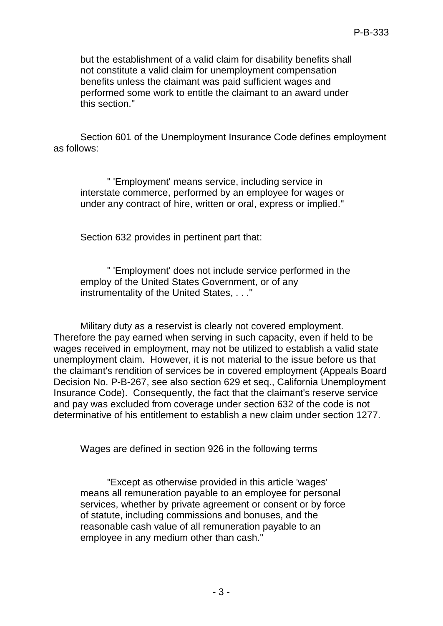but the establishment of a valid claim for disability benefits shall not constitute a valid claim for unemployment compensation benefits unless the claimant was paid sufficient wages and performed some work to entitle the claimant to an award under this section."

Section 601 of the Unemployment Insurance Code defines employment as follows:

" 'Employment' means service, including service in interstate commerce, performed by an employee for wages or under any contract of hire, written or oral, express or implied."

Section 632 provides in pertinent part that:

" 'Employment' does not include service performed in the employ of the United States Government, or of any instrumentality of the United States, . . ."

Military duty as a reservist is clearly not covered employment. Therefore the pay earned when serving in such capacity, even if held to be wages received in employment, may not be utilized to establish a valid state unemployment claim. However, it is not material to the issue before us that the claimant's rendition of services be in covered employment (Appeals Board Decision No. P-B-267, see also section 629 et seq., California Unemployment Insurance Code). Consequently, the fact that the claimant's reserve service and pay was excluded from coverage under section 632 of the code is not determinative of his entitlement to establish a new claim under section 1277.

Wages are defined in section 926 in the following terms

"Except as otherwise provided in this article 'wages' means all remuneration payable to an employee for personal services, whether by private agreement or consent or by force of statute, including commissions and bonuses, and the reasonable cash value of all remuneration payable to an employee in any medium other than cash."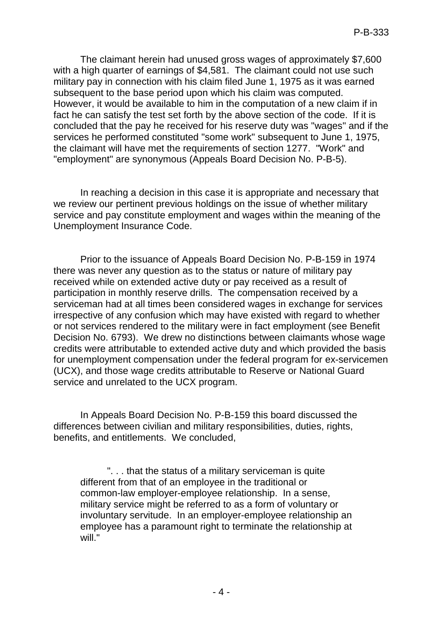The claimant herein had unused gross wages of approximately \$7,600 with a high quarter of earnings of \$4,581. The claimant could not use such military pay in connection with his claim filed June 1, 1975 as it was earned subsequent to the base period upon which his claim was computed. However, it would be available to him in the computation of a new claim if in fact he can satisfy the test set forth by the above section of the code. If it is concluded that the pay he received for his reserve duty was "wages" and if the services he performed constituted "some work" subsequent to June 1, 1975, the claimant will have met the requirements of section 1277. "Work" and "employment" are synonymous (Appeals Board Decision No. P-B-5).

In reaching a decision in this case it is appropriate and necessary that we review our pertinent previous holdings on the issue of whether military service and pay constitute employment and wages within the meaning of the Unemployment Insurance Code.

Prior to the issuance of Appeals Board Decision No. P-B-159 in 1974 there was never any question as to the status or nature of military pay received while on extended active duty or pay received as a result of participation in monthly reserve drills. The compensation received by a serviceman had at all times been considered wages in exchange for services irrespective of any confusion which may have existed with regard to whether or not services rendered to the military were in fact employment (see Benefit Decision No. 6793). We drew no distinctions between claimants whose wage credits were attributable to extended active duty and which provided the basis for unemployment compensation under the federal program for ex-servicemen (UCX), and those wage credits attributable to Reserve or National Guard service and unrelated to the UCX program.

In Appeals Board Decision No. P-B-159 this board discussed the differences between civilian and military responsibilities, duties, rights, benefits, and entitlements. We concluded,

". . . that the status of a military serviceman is quite different from that of an employee in the traditional or common-law employer-employee relationship. In a sense, military service might be referred to as a form of voluntary or involuntary servitude. In an employer-employee relationship an employee has a paramount right to terminate the relationship at will."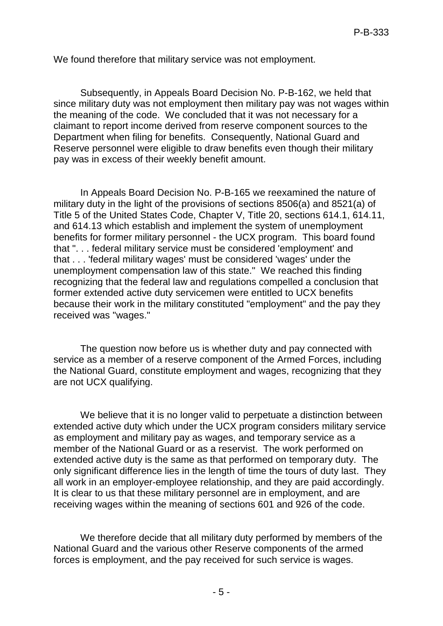We found therefore that military service was not employment.

Subsequently, in Appeals Board Decision No. P-B-162, we held that since military duty was not employment then military pay was not wages within the meaning of the code. We concluded that it was not necessary for a claimant to report income derived from reserve component sources to the Department when filing for benefits. Consequently, National Guard and Reserve personnel were eligible to draw benefits even though their military pay was in excess of their weekly benefit amount.

In Appeals Board Decision No. P-B-165 we reexamined the nature of military duty in the light of the provisions of sections 8506(a) and 8521(a) of Title 5 of the United States Code, Chapter V, Title 20, sections 614.1, 614.11, and 614.13 which establish and implement the system of unemployment benefits for former military personnel - the UCX program. This board found that ". . . federal military service must be considered 'employment' and that . . . 'federal military wages' must be considered 'wages' under the unemployment compensation law of this state." We reached this finding recognizing that the federal law and regulations compelled a conclusion that former extended active duty servicemen were entitled to UCX benefits because their work in the military constituted "employment" and the pay they received was "wages."

The question now before us is whether duty and pay connected with service as a member of a reserve component of the Armed Forces, including the National Guard, constitute employment and wages, recognizing that they are not UCX qualifying.

We believe that it is no longer valid to perpetuate a distinction between extended active duty which under the UCX program considers military service as employment and military pay as wages, and temporary service as a member of the National Guard or as a reservist. The work performed on extended active duty is the same as that performed on temporary duty. The only significant difference lies in the length of time the tours of duty last. They all work in an employer-employee relationship, and they are paid accordingly. It is clear to us that these military personnel are in employment, and are receiving wages within the meaning of sections 601 and 926 of the code.

We therefore decide that all military duty performed by members of the National Guard and the various other Reserve components of the armed forces is employment, and the pay received for such service is wages.